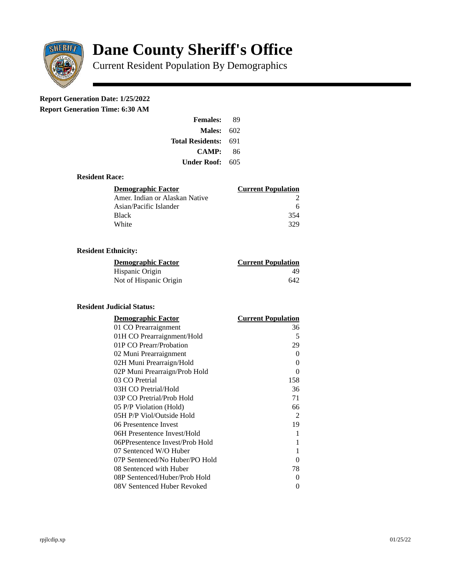

# **Dane County Sheriff's Office**

Current Resident Population By Demographics

# **Report Generation Date: 1/25/2022**

**Report Generation Time: 6:30 AM** 

| <b>Females:</b>         | 89  |  |
|-------------------------|-----|--|
| Males:                  | 602 |  |
| <b>Total Residents:</b> | 691 |  |
| CAMP:                   | 86  |  |
| Under Roof: \           | 605 |  |

### **Resident Race:**

| Demographic Factor             | <b>Current Population</b> |
|--------------------------------|---------------------------|
| Amer. Indian or Alaskan Native |                           |
| Asian/Pacific Islander         | 6                         |
| <b>Black</b>                   | 354                       |
| White                          | 329                       |

# **Resident Ethnicity:**

| <u>Demographic Factor</u> | <b>Current Population</b> |
|---------------------------|---------------------------|
| Hispanic Origin           | 49                        |
| Not of Hispanic Origin    | 642                       |

#### **Resident Judicial Status:**

| <b>Demographic Factor</b>       | <b>Current Population</b> |
|---------------------------------|---------------------------|
| 01 CO Prearraignment            | 36                        |
| 01H CO Prearraignment/Hold      | 5                         |
| 01P CO Prearr/Probation         | 29                        |
| 02 Muni Prearraignment          | 0                         |
| 02H Muni Prearraign/Hold        | 0                         |
| 02P Muni Prearraign/Prob Hold   | 0                         |
| 03 CO Pretrial                  | 158                       |
| 03H CO Pretrial/Hold            | 36                        |
| 03P CO Pretrial/Prob Hold       | 71                        |
| 05 P/P Violation (Hold)         | 66                        |
| 05H P/P Viol/Outside Hold       | 2                         |
| 06 Presentence Invest           | 19                        |
| 06H Presentence Invest/Hold     | 1                         |
| 06PPresentence Invest/Prob Hold | 1                         |
| 07 Sentenced W/O Huber          | 1                         |
| 07P Sentenced/No Huber/PO Hold  | 0                         |
| 08 Sentenced with Huber         | 78                        |
| 08P Sentenced/Huber/Prob Hold   | 0                         |
| 08V Sentenced Huber Revoked     | 0                         |